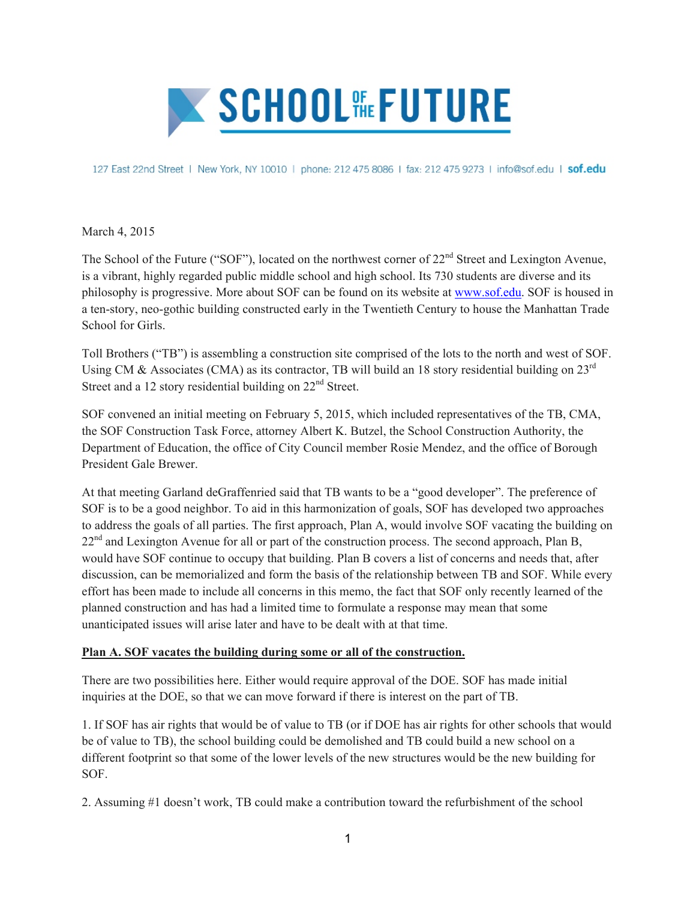

127 East 22nd Street | New York, NY 10010 | phone: 212 475 8086 | fax: 212 475 9273 | info@sof.edu | sof.edu

March 4, 2015

The School of the Future ("SOF"), located on the northwest corner of 22<sup>nd</sup> Street and Lexington Avenue, is a vibrant, highly regarded public middle school and high school. Its 730 students are diverse and its philosophy is progressive. More about SOF can be found on its website at www.sof.edu. SOF is housed in a ten-story, neo-gothic building constructed early in the Twentieth Century to house the Manhattan Trade School for Girls.

Toll Brothers ("TB") is assembling a construction site comprised of the lots to the north and west of SOF. Using CM & Associates (CMA) as its contractor, TB will build an 18 story residential building on 23<sup>rd</sup> Street and a 12 story residential building on  $22<sup>nd</sup>$  Street.

SOF convened an initial meeting on February 5, 2015, which included representatives of the TB, CMA, the SOF Construction Task Force, attorney Albert K. Butzel, the School Construction Authority, the Department of Education, the office of City Council member Rosie Mendez, and the office of Borough President Gale Brewer.

At that meeting Garland deGraffenried said that TB wants to be a "good developer". The preference of SOF is to be a good neighbor. To aid in this harmonization of goals, SOF has developed two approaches to address the goals of all parties. The first approach, Plan A, would involve SOF vacating the building on 22<sup>nd</sup> and Lexington Avenue for all or part of the construction process. The second approach, Plan B, would have SOF continue to occupy that building. Plan B covers a list of concerns and needs that, after discussion, can be memorialized and form the basis of the relationship between TB and SOF. While every effort has been made to include all concerns in this memo, the fact that SOF only recently learned of the planned construction and has had a limited time to formulate a response may mean that some unanticipated issues will arise later and have to be dealt with at that time.

#### **Plan A. SOF vacates the building during some or all of the construction.**

There are two possibilities here. Either would require approval of the DOE. SOF has made initial inquiries at the DOE, so that we can move forward if there is interest on the part of TB.

1. If SOF has air rights that would be of value to TB (or if DOE has air rights for other schools that would be of value to TB), the school building could be demolished and TB could build a new school on a different footprint so that some of the lower levels of the new structures would be the new building for SOF.

2. Assuming #1 doesn't work, TB could make a contribution toward the refurbishment of the school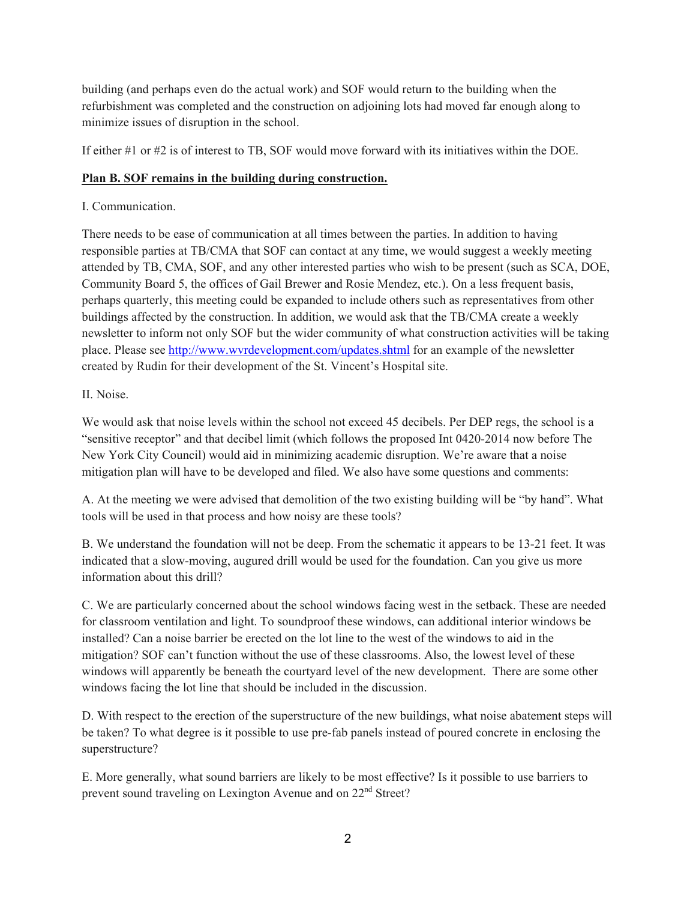building (and perhaps even do the actual work) and SOF would return to the building when the refurbishment was completed and the construction on adjoining lots had moved far enough along to minimize issues of disruption in the school.

If either #1 or #2 is of interest to TB, SOF would move forward with its initiatives within the DOE.

# **Plan B. SOF remains in the building during construction.**

# I. Communication.

There needs to be ease of communication at all times between the parties. In addition to having responsible parties at TB/CMA that SOF can contact at any time, we would suggest a weekly meeting attended by TB, CMA, SOF, and any other interested parties who wish to be present (such as SCA, DOE, Community Board 5, the offices of Gail Brewer and Rosie Mendez, etc.). On a less frequent basis, perhaps quarterly, this meeting could be expanded to include others such as representatives from other buildings affected by the construction. In addition, we would ask that the TB/CMA create a weekly newsletter to inform not only SOF but the wider community of what construction activities will be taking place. Please see http://www.wvrdevelopment.com/updates.shtml for an example of the newsletter created by Rudin for their development of the St. Vincent's Hospital site.

# II. Noise.

We would ask that noise levels within the school not exceed 45 decibels. Per DEP regs, the school is a "sensitive receptor" and that decibel limit (which follows the proposed Int 0420-2014 now before The New York City Council) would aid in minimizing academic disruption. We're aware that a noise mitigation plan will have to be developed and filed. We also have some questions and comments:

A. At the meeting we were advised that demolition of the two existing building will be "by hand". What tools will be used in that process and how noisy are these tools?

B. We understand the foundation will not be deep. From the schematic it appears to be 13-21 feet. It was indicated that a slow-moving, augured drill would be used for the foundation. Can you give us more information about this drill?

C. We are particularly concerned about the school windows facing west in the setback. These are needed for classroom ventilation and light. To soundproof these windows, can additional interior windows be installed? Can a noise barrier be erected on the lot line to the west of the windows to aid in the mitigation? SOF can't function without the use of these classrooms. Also, the lowest level of these windows will apparently be beneath the courtyard level of the new development. There are some other windows facing the lot line that should be included in the discussion.

D. With respect to the erection of the superstructure of the new buildings, what noise abatement steps will be taken? To what degree is it possible to use pre-fab panels instead of poured concrete in enclosing the superstructure?

E. More generally, what sound barriers are likely to be most effective? Is it possible to use barriers to prevent sound traveling on Lexington Avenue and on 22nd Street?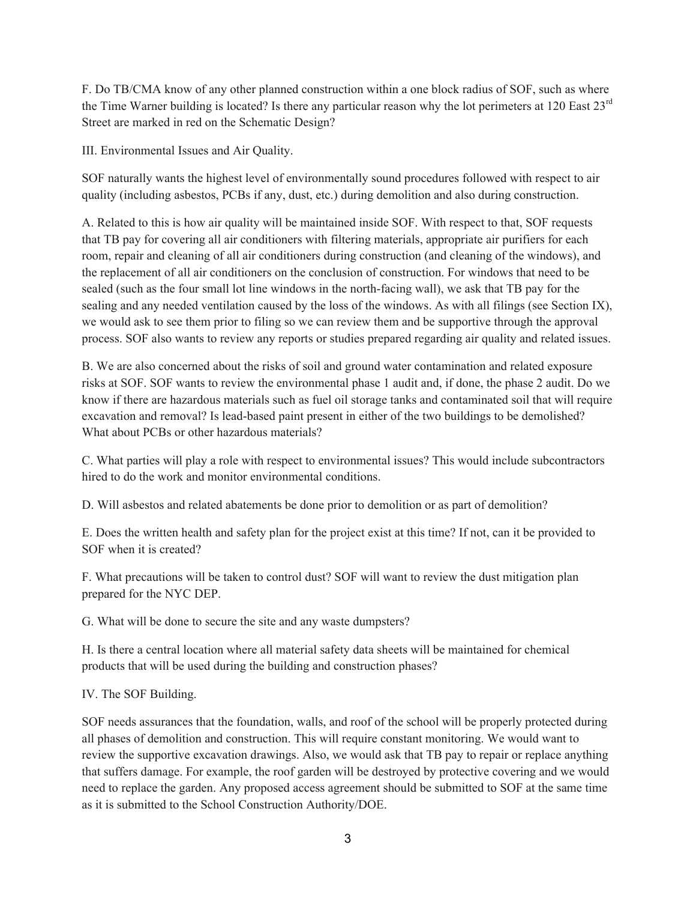F. Do TB/CMA know of any other planned construction within a one block radius of SOF, such as where the Time Warner building is located? Is there any particular reason why the lot perimeters at 120 East 23<sup>rd</sup> Street are marked in red on the Schematic Design?

III. Environmental Issues and Air Quality.

SOF naturally wants the highest level of environmentally sound procedures followed with respect to air quality (including asbestos, PCBs if any, dust, etc.) during demolition and also during construction.

A. Related to this is how air quality will be maintained inside SOF. With respect to that, SOF requests that TB pay for covering all air conditioners with filtering materials, appropriate air purifiers for each room, repair and cleaning of all air conditioners during construction (and cleaning of the windows), and the replacement of all air conditioners on the conclusion of construction. For windows that need to be sealed (such as the four small lot line windows in the north-facing wall), we ask that TB pay for the sealing and any needed ventilation caused by the loss of the windows. As with all filings (see Section IX), we would ask to see them prior to filing so we can review them and be supportive through the approval process. SOF also wants to review any reports or studies prepared regarding air quality and related issues.

B. We are also concerned about the risks of soil and ground water contamination and related exposure risks at SOF. SOF wants to review the environmental phase 1 audit and, if done, the phase 2 audit. Do we know if there are hazardous materials such as fuel oil storage tanks and contaminated soil that will require excavation and removal? Is lead-based paint present in either of the two buildings to be demolished? What about PCBs or other hazardous materials?

C. What parties will play a role with respect to environmental issues? This would include subcontractors hired to do the work and monitor environmental conditions.

D. Will asbestos and related abatements be done prior to demolition or as part of demolition?

E. Does the written health and safety plan for the project exist at this time? If not, can it be provided to SOF when it is created?

F. What precautions will be taken to control dust? SOF will want to review the dust mitigation plan prepared for the NYC DEP.

G. What will be done to secure the site and any waste dumpsters?

H. Is there a central location where all material safety data sheets will be maintained for chemical products that will be used during the building and construction phases?

IV. The SOF Building.

SOF needs assurances that the foundation, walls, and roof of the school will be properly protected during all phases of demolition and construction. This will require constant monitoring. We would want to review the supportive excavation drawings. Also, we would ask that TB pay to repair or replace anything that suffers damage. For example, the roof garden will be destroyed by protective covering and we would need to replace the garden. Any proposed access agreement should be submitted to SOF at the same time as it is submitted to the School Construction Authority/DOE.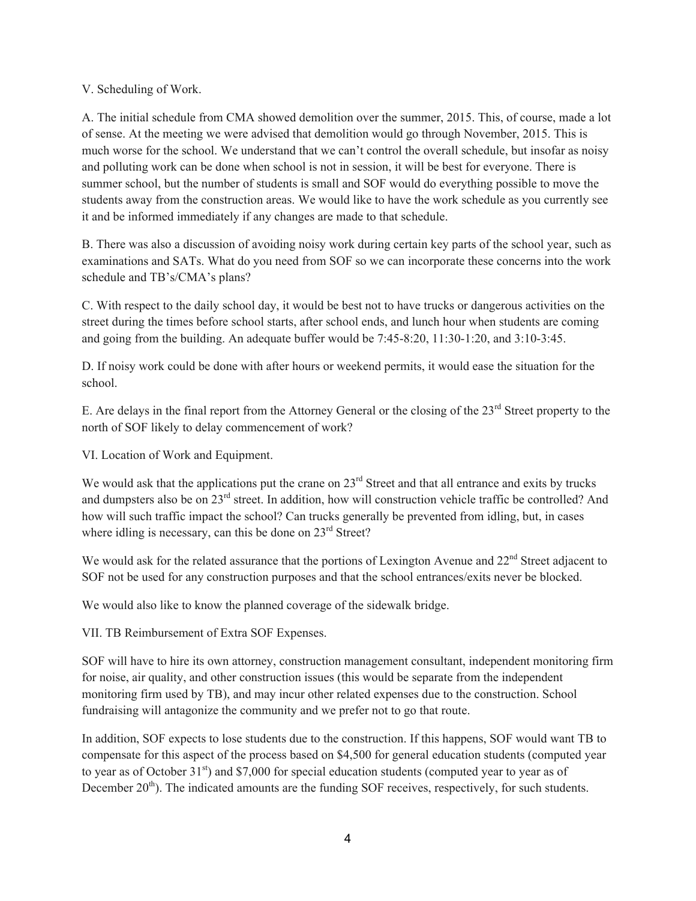### V. Scheduling of Work.

A. The initial schedule from CMA showed demolition over the summer, 2015. This, of course, made a lot of sense. At the meeting we were advised that demolition would go through November, 2015. This is much worse for the school. We understand that we can't control the overall schedule, but insofar as noisy and polluting work can be done when school is not in session, it will be best for everyone. There is summer school, but the number of students is small and SOF would do everything possible to move the students away from the construction areas. We would like to have the work schedule as you currently see it and be informed immediately if any changes are made to that schedule.

B. There was also a discussion of avoiding noisy work during certain key parts of the school year, such as examinations and SATs. What do you need from SOF so we can incorporate these concerns into the work schedule and TB's/CMA's plans?

C. With respect to the daily school day, it would be best not to have trucks or dangerous activities on the street during the times before school starts, after school ends, and lunch hour when students are coming and going from the building. An adequate buffer would be 7:45-8:20, 11:30-1:20, and 3:10-3:45.

D. If noisy work could be done with after hours or weekend permits, it would ease the situation for the school.

E. Are delays in the final report from the Attorney General or the closing of the 23<sup>rd</sup> Street property to the north of SOF likely to delay commencement of work?

VI. Location of Work and Equipment.

We would ask that the applications put the crane on 23<sup>rd</sup> Street and that all entrance and exits by trucks and dumpsters also be on 23rd street. In addition, how will construction vehicle traffic be controlled? And how will such traffic impact the school? Can trucks generally be prevented from idling, but, in cases where idling is necessary, can this be done on  $23<sup>rd</sup>$  Street?

We would ask for the related assurance that the portions of Lexington Avenue and  $22<sup>nd</sup>$  Street adjacent to SOF not be used for any construction purposes and that the school entrances/exits never be blocked.

We would also like to know the planned coverage of the sidewalk bridge.

VII. TB Reimbursement of Extra SOF Expenses.

SOF will have to hire its own attorney, construction management consultant, independent monitoring firm for noise, air quality, and other construction issues (this would be separate from the independent monitoring firm used by TB), and may incur other related expenses due to the construction. School fundraising will antagonize the community and we prefer not to go that route.

In addition, SOF expects to lose students due to the construction. If this happens, SOF would want TB to compensate for this aspect of the process based on \$4,500 for general education students (computed year to year as of October  $31<sup>st</sup>$ ) and \$7,000 for special education students (computed year to year as of December 20<sup>th</sup>). The indicated amounts are the funding SOF receives, respectively, for such students.